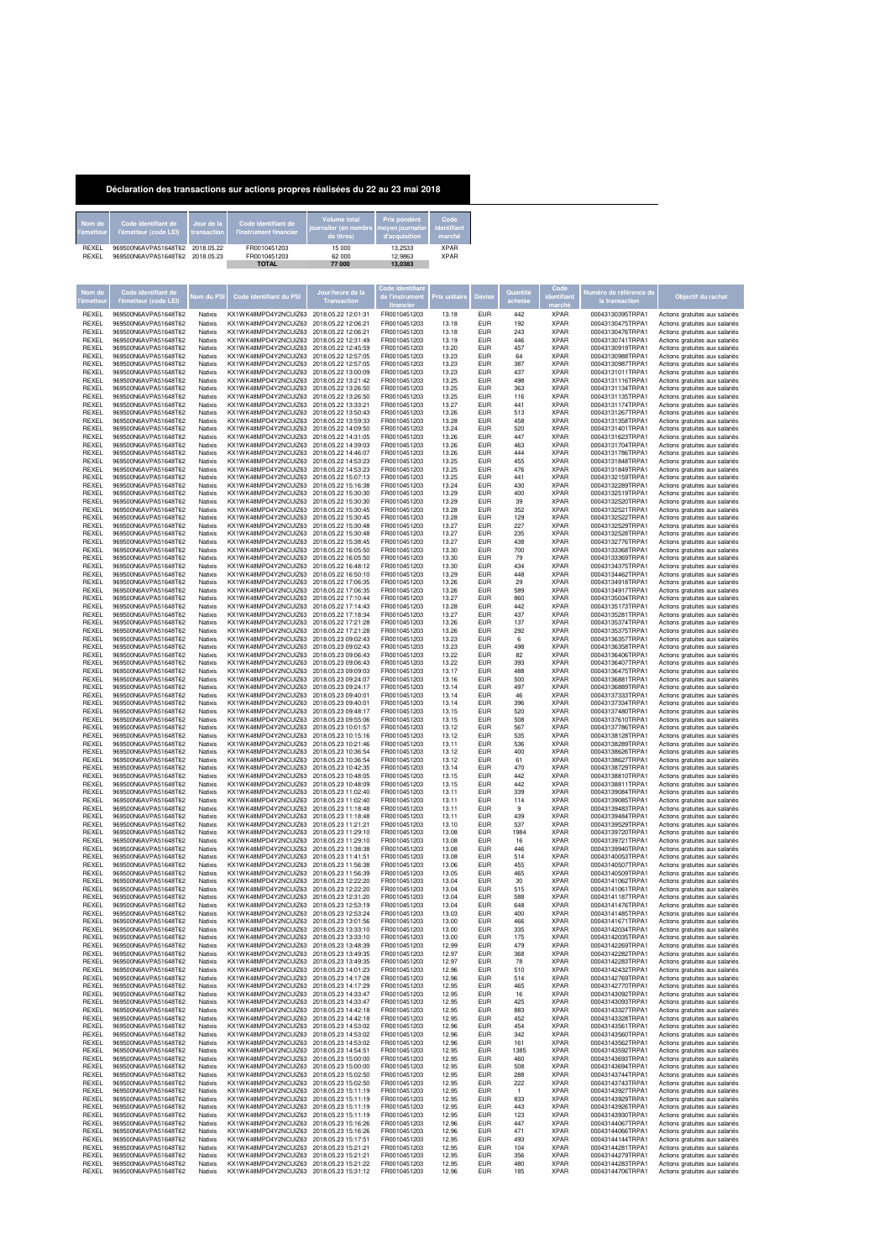| Déclaration des transactions sur actions propres réalisées du 22 au 23 mai 2018 |
|---------------------------------------------------------------------------------|
|                                                                                 |

| Nom de<br>l'émetteur | Code identifiant de<br>l'émetteur (code LEI)                             | Jour de la<br>transaction | Code identifiant de<br>l'instrument financier | Volume total<br>journalier (en nombre moyen journalier identifiant<br>de titres) | Prix pondéré<br>d'acquisition | Code<br>marché             |
|----------------------|--------------------------------------------------------------------------|---------------------------|-----------------------------------------------|----------------------------------------------------------------------------------|-------------------------------|----------------------------|
| REXEL<br>REXEL       | 969500N6AVPA51648T62<br>2018.05.22<br>969500N6AVPA51648T62<br>2018.05.23 |                           | FR0010451203<br>FR0010451203                  | 15 000<br>62 000                                                                 | 13,2533<br>12.9863            | <b>XPAR</b><br><b>XPAR</b> |
|                      |                                                                          |                           | <b>TOTAL</b>                                  | 77 000                                                                           | 13.0383                       |                            |

| Nom de                       | Code identifiant de<br>'émetteur (code LEI)  | lom du PS          | Code identifiant du PSI                                                               | Jour/heure de la<br><b>Transaction</b>     | financie                     | Prix unitaire  | Devis             | Quantité            | marché                     | luméro de référence de<br>la transaction | Objectif du rachat                                               |
|------------------------------|----------------------------------------------|--------------------|---------------------------------------------------------------------------------------|--------------------------------------------|------------------------------|----------------|-------------------|---------------------|----------------------------|------------------------------------------|------------------------------------------------------------------|
| REXEL                        | 969500N6AVPA51648T62                         | Natixis            | KX1WK48MPD4Y2NCUIZ63                                                                  | 2018.05.22 12:01:31                        | FR0010451203                 | 13.18          | EUR               | 442                 | <b>XPAR</b>                | 00043130395TRPA1                         | Actions gratuites aux salariés                                   |
| <b>REXEL</b>                 | 969500N6AVPA51648T62                         | Natixis            | KX1WK48MPD4Y2NCUIZ63                                                                  | 2018.05.22 12:06:21                        | FR0010451203                 | 13.18          | <b>EUR</b>        | 192                 | <b>XPAR</b>                | 00043130475TRPA1                         | Actions gratuites aux salariés                                   |
| <b>REXEL</b>                 | 969500N6AVPA51648T62                         | Natixis            | KX1WK48MPD4Y2NCLIIZ63                                                                 | 2018.05.22 12:06:21                        | FR0010451203                 | 13.18          | EUR<br>EUR        | 243                 | <b>XPAR</b>                | 00043130476TRPA1                         | Actions gratuites aux salariés                                   |
| REXEL<br><b>REXEL</b>        | 969500N6AVPA51648T62<br>969500N6AVPA51648T62 | Natixis<br>Natixis | KX1WK48MPD4Y2NCUIZ63<br>KX1WK48MPD4Y2NCUIZ63                                          | 2018.05.22 12:31:49<br>2018.05.22 12:45:59 | FR0010451203<br>FR0010451203 | 13.19<br>13.20 | EUR               | 446<br>457          | <b>XPAR</b><br><b>XPAR</b> | 00043130741TRPA1<br>00043130919TRPA1     | Actions gratuites aux salariés<br>Actions gratuites aux salariés |
| REXEL                        | 969500N6AVPA51648T62                         | Natixis            | KX1WK48MPD4Y2NCUIZ63                                                                  | 2018.05.22.12:57:05                        | FR0010451203                 | 13.23          | EUR               | 64                  | <b>XPAR</b>                | 00043130988TRPA1                         | Actions gratuites aux salariés                                   |
| REXEL                        | 969500N6AVPA51648T62                         | Natixis            | KX1WK48MPD4Y2NCUIZ63                                                                  | 2018.05.22 12:57:05                        | FR0010451203                 | 13.23          | EUR               | 387                 | <b>XPAR</b>                | 00043130987TRPA1                         | Actions gratuites aux salariés                                   |
| <b>REXEL</b><br>REXEL        | 969500N6AVPA51648T62<br>969500N6AVPA51648T62 | Natixis<br>Natixis | KX1WK48MPD4Y2NCLIIZ63<br>KX1WK48MPD4Y2NCUIZ63                                         | 2018.05.22.13:00:09<br>2018.05.22 13:21:42 | FR0010451203<br>FR0010451203 | 13.23<br>13.25 | EUR<br><b>EUR</b> | 437<br>498          | <b>XPAR</b><br><b>XPAR</b> | 00043131011TRPA1<br>00043131116TRPA1     | Actions gratuites aux salariés<br>Actions gratuites aux salariés |
| <b>REXEL</b>                 | 969500N6AVPA51648T62                         | Natixis            | KX1WK48MPD4Y2NCUIZ63                                                                  | 2018.05.22 13:26:50                        | FR0010451203                 | 13.25          | EUR               | 363                 | <b>XPAR</b>                | 00043131134TRPA1                         | Actions gratuites aux salariés                                   |
| REXEL                        | 969500N6AVPA51648T62                         | Natixis            | KX1WK48MPD4Y2NCUIZ63                                                                  | 2018.05.22 13:26:50                        | FR0010451203                 | 13.25          | EUR               | 116                 | <b>XPAR</b>                | 00043131135TRPA1                         | Actions gratuites aux salariés                                   |
| REXEL<br><b>REXEL</b>        | 969500N6AVPA51648T62<br>969500N6AVPA51648T62 | Natixis<br>Natixis | KX1WK48MPD4Y2NCUIZ63<br>KX1WK48MPD4Y2NCUIZ63                                          | 2018.05.22 13:33:21<br>2018.05.22 13:50:43 | FR0010451203<br>FR0010451203 | 13.27<br>13.26 | EUR<br>EUR        | 441<br>513          | <b>XPAR</b><br><b>XPAR</b> | 00043131174TRPA1<br>00043131267TRPA1     | Actions gratuites aux salariés<br>Actions gratuites aux salariés |
| REXEL                        | 969500N6AVPA51648T62                         | Natixis            | KX1WK48MPD4Y2NCUIZ63                                                                  | 2018.05.22 13:59:33                        | FR0010451203                 | 13.28          | EUR               | 458                 | <b>XPAR</b>                | 00043131358TRPA1                         | Actions gratuites aux salariés                                   |
| <b>REXEL</b>                 | 969500N6AVPA51648T62                         | Natixis            | KX1WK48MPD4Y2NCUIZ63                                                                  | 2018.05.22.14:09:50                        | FR0010451203                 | 13.24          | FUR               | 520                 | <b>XPAR</b>                | 00043131401TRPA1                         | Actions gratuites aux salariés                                   |
| REXEL<br>REXEL               | 969500N6AVPA51648T62<br>969500N6AVPA51648T62 | Natixis<br>Natixis | KX1WK48MPD4Y2NCUIZ63<br>KX1WK48MPD4Y2NCUIZ63                                          | 2018.05.22 14:31:05<br>2018.05.22 14:39:03 | FR0010451203<br>FR0010451203 | 13.26<br>13.26 | EUR<br>EUR        | 447<br>463          | <b>XPAR</b><br><b>XPAR</b> | 00043131623TRPA1<br>00043131704TRPA1     | Actions gratuites aux salariés<br>Actions gratuites aux salariés |
| <b>REXEL</b>                 | 969500N6AVPA51648T62                         | Natixis            | KX1WK48MPD4Y2NCLIIZ63 2018.05.22 14:46:07                                             |                                            | FR0010451203                 | 13.26          | EUR               | 444                 | <b>XPAR</b>                | 00043131786TRPA1                         | Actions gratuites aux salariés                                   |
| REXEL                        | 969500N6AVPA51648T62                         | Natixis            | KX1WK48MPD4Y2NCUIZ63 2018.05.22 14:53:23                                              |                                            | FR0010451203                 | 13.25          | <b>EUR</b>        | 455                 | <b>XPAR</b>                | 00043131848TRPA1                         | Actions gratuites aux salariés                                   |
| REXEL<br>REXEL               | 969500N6AVPA51648T62<br>969500N6AVPA51648T62 | Natixis<br>Natixis | KX1WK48MPD4Y2NCUIZ63 2018.05.22 14:53:23<br>KX1WK48MPD4Y2NCUIZ63                      | 2018.05.22 15:07:13                        | FR0010451203<br>FR0010451203 | 13.25<br>13.25 | FUR<br>EUR        | 476<br>441          | <b>XPAR</b><br><b>XPAR</b> | 00043131849TRPA1<br>00043132159TRPA1     | Actions gratuites aux salariés<br>Actions gratuites aux salariés |
| REXEL                        | 969500N6AVPA51648T62                         | Natixis            | KX1WK48MPD4Y2NCUIZ63                                                                  | 2018.05.22 15:16:38                        | FR0010451203                 | 13.24          | EUR               | 430                 | <b>XPAR</b>                | 00043132289TRPA1                         | Actions gratuites aux salariés                                   |
| <b>REXEL</b>                 | 969500N6AVPA51648T62                         | Natixis            | KX1WK48MPD4Y2NCLIIZ63                                                                 | 2018.05.22 15:30:30                        | FR0010451203                 | 13.29          | EUR               | 400                 | <b>XPAR</b>                | 00043132519TRPA1                         | Actions gratuites aux salariés                                   |
| REXEL<br><b>REXEL</b>        | 969500N6AVPA51648T62<br>969500N6AVPA51648T62 | Natixis<br>Natixis | KX1WK48MPD4Y2NCUIZ63<br>KX1WK48MPD4Y2NCUIZ63                                          | 2018.05.22 15:30:30<br>2018.05.22 15:30:45 | FR0010451203<br>FR0010451203 | 13.29<br>13.28 | <b>EUR</b><br>FUR | 39<br>352           | <b>XPAR</b><br><b>XPAR</b> | 00043132520TRPA1<br>00043132521TRPA1     | Actions gratuites aux salariés                                   |
| REXEL                        | 969500N6AVPA51648T62                         | Natixis            | KX1WK48MPD4Y2NCUIZ63                                                                  | 2018.05.22 15:30:45                        | FR0010451203                 | 13.28          | EUR               | 129                 | <b>XPAR</b>                | 00043132522TRPA1                         | Actions gratuites aux salariés<br>Actions gratuites aux salariés |
| REXEL                        | 969500N6AVPA51648T62                         | Natixis            | KX1WK48MPD4Y2NCUIZ63                                                                  | 2018.05.22 15:30:48                        | FR0010451203                 | 13.27          | EUR               | 227                 | <b>XPAR</b>                | 00043132529TRPA1                         | Actions gratuites aux salariés                                   |
| <b>REXEL</b><br>REXEL        | 969500N6AVPA51648T62<br>969500N6AVPA51648T62 | Natixis<br>Natixis | KX1WK48MPD4Y2NCUIZ63 2018.05.22 15:30:48<br>KX1WK48MPD4Y2NCUIZ63 2018.05.22 15:38:45  |                                            | FR0010451203<br>FR0010451203 | 13.27<br>13.27 | EUR<br><b>EUR</b> | 235<br>438          | <b>XPAR</b><br><b>XPAR</b> | 00043132528TRPA1<br>00043132776TRPA1     | Actions gratuites aux salariés<br>Actions gratuites aux salariés |
| REXEL                        | 969500N6AVPA51648T62                         | Natixis            | KX1WK48MPD4Y2NCUIZ63 2018.05.22 16:05:50                                              |                                            | FR0010451203                 | 13.30          | FUR               | 700                 | <b>XPAR</b>                | 00043133368TRPA1                         | Actions gratuites aux salariés                                   |
| REXEL                        | 969500N6AVPA51648T62                         | Natixis            | KX1WK48MPD4Y2NCUIZ63                                                                  | 2018.05.22 16:05:50                        | FR0010451203                 | 13.30          | EUR               | 79                  | <b>XPAR</b>                | 00043133369TRPA1                         | Actions gratuites aux salariés                                   |
| <b>REXEL</b><br><b>REXEL</b> | 969500N6AVPA51648T62<br>969500N6AVPA51648T62 | Natixis<br>Natixis | KX1WK48MPD4Y2NCUIZ63<br>KX1WK48MPD4Y2NCLIIZ63                                         | 2018.05.22 16:48:12<br>2018.05.22 16:50:10 | FR0010451203<br>FR0010451203 | 13.30<br>13.29 | EUR<br>EUR        | 434<br>448          | <b>XPAR</b><br><b>XPAR</b> | 00043134375TRPA1<br>00043134462TRPA1     | Actions gratuites aux salariés<br>Actions gratuites aux salariés |
| REXEL                        | 969500N6AVPA51648T62                         | Natixis            | KX1WK48MPD4Y2NCUIZ63                                                                  | 2018.05.22 17:06:35                        | FR0010451203                 | 13.26          | EUR               | 29                  | <b>XPAR</b>                | 00043134918TRPA1                         | Actions gratuites aux salariés                                   |
| <b>REXEL</b>                 | 969500N6AVPA51648T62                         | Natixis            | KX1WK48MPD4Y2NCUIZ63                                                                  | 2018.05.22 17:06:35                        | FR0010451203                 | 13.26          | FUR               | 589                 | <b>XPAR</b>                | 00043134917TRPA1                         | Actions gratuites aux salariés                                   |
| REXEL<br>REXEL               | 969500N6AVPA51648T62<br>969500N6AVPA51648T62 | Natixis<br>Natixis | KX1WK48MPD4Y2NCUIZ63<br>KX1WK48MPD4Y2NCUIZ63                                          | 2018.05.22 17:10:44<br>2018.05.22 17:14:43 | FR0010451203<br>FR0010451203 | 13.27<br>13.28 | EUR<br>EUR        | 860<br>442          | <b>XPAR</b><br><b>XPAR</b> | 00043135034TRPA1<br>00043135173TRPA1     | Actions gratuites aux salariés                                   |
| <b>REXEL</b>                 | 969500N6AVPA51648T62                         | Natixis            | KX1WK48MPD4Y2NCLIIZ63 2018 05 22 17:18:34                                             |                                            | FR0010451203                 | 13.27          | EUR               | 437                 | <b>XPAR</b>                | 00043135281TRPA1                         | Actions gratuites aux salariés<br>Actions gratuites aux salariés |
| REXEL                        | 969500N6AVPA51648T62                         | Natixis            | KX1WK48MPD4Y2NCUIZ63 2018.05.22 17:21:28                                              |                                            | FR0010451203                 | 13.26          | <b>EUR</b>        | 137                 | <b>XPAR</b>                | 00043135374TRPA1                         | Actions gratuites aux salariés                                   |
| REXEL                        | 969500N6AVPA51648T62                         | Natixis            | KX1WK48MPD4Y2NCUIZ63 2018.05.22 17:21:28<br>KX1WK48MPD4Y2NCUIZ63                      | 2018.05.23 09:02:43                        | FR0010451203<br>FR0010451203 | 13.26          | FUR<br>EUR        | 292<br>6            | <b>XPAR</b><br><b>XPAR</b> | 00043135375TRPA1                         | Actions gratuites aux salariés                                   |
| REXEL<br>REXEL               | 969500N6AVPA51648T62<br>969500N6AVPA51648T62 | Natixis<br>Natixis | KX1WK48MPD4Y2NCUIZ63                                                                  | 2018.05.23 09:02:43                        | FR0010451203                 | 13.23<br>13.23 | EUR               | 498                 | <b>XPAR</b>                | 00043136357TRPA1<br>00043136358TRPA1     | Actions gratuites aux salariés<br>Actions gratuites aux salariés |
| <b>REXEL</b>                 | 969500N6AVPA51648T62                         | Natixis            | KX1WK48MPD4Y2NCUIZ63                                                                  | 2018.05.23 09:06:43                        | FR0010451203                 | 13.22          | EUR               | 82                  | <b>XPAR</b>                | 00043136406TRPA1                         | Actions gratuites aux salariés                                   |
| REXEL<br><b>REXEL</b>        | 969500N6AVPA51648T62<br>969500N6AVPA51648T62 | Natixis            | KX1WK48MPD4Y2NCUIZ63<br>KX1WK48MPD4Y2NCUIZ63                                          | 2018.05.23 09:06:43                        | FR0010451203                 | 13.22          | EUR               | 393                 | <b>XPAR</b>                | 00043136407TRPA1<br>00043136475TRPA1     | Actions gratuites aux salariés                                   |
| REXEL                        | 969500N6AVPA51648T62                         | Natixis<br>Natixis | KX1WK48MPD4Y2NCUIZ63                                                                  | 2018.05.23 09:09:03<br>2018.05.23.09:24:07 | FR0010451203<br>FR0010451203 | 13.17<br>13.16 | FUR<br>EUR        | 488<br>500          | <b>XPAR</b><br><b>XPAR</b> | 00043136881TRPA1                         | Actions gratuites aux salariés<br>Actions gratuites aux salariés |
| REXEL                        | 969500N6AVPA51648T62                         | Natixis            | KX1WK48MPD4Y2NCUIZ63                                                                  | 2018.05.23 09:24:17                        | FR0010451203                 | 13.14          | EUR               | 497                 | <b>XPAR</b>                | 00043136889TRPA1                         | Actions gratuites aux salariés                                   |
| <b>REXEL</b>                 | 969500N6AVPA51648T62<br>969500N6AVPA51648T62 | Natixis            | KX1WK48MPD4Y2NCUIZ63 2018.05.23 09:40:01                                              |                                            | FR0010451203                 | 13.14          | EUR               | 46                  | <b>XPAR</b>                | 00043137333TRPA1                         | Actions gratuites aux salariés                                   |
| REXEL<br>REXEL               | 969500N6AVPA51648T62                         | Natixis<br>Natixis | KX1WK48MPD4Y2NCUIZ63 2018.05.23 09:40:01<br>KX1WK48MPD4Y2NCLIIZ63 2018.05.23.09:48:17 |                                            | FR0010451203<br>FR0010451203 | 13.14<br>13.15 | <b>EUR</b><br>FUR | 396<br>520          | <b>XPAR</b><br><b>XPAR</b> | 00043137334TRPA1<br>00043137480TRPA1     | Actions gratuites aux salariés<br>Actions gratuites aux salariés |
| REXEL                        | 969500N6AVPA51648T62                         | Natixis            | KX1WK48MPD4Y2NCUIZ63                                                                  | 2018.05.23 09:55:06                        | FR0010451203                 | 13.15          | EUR               | 508                 | <b>XPAR</b>                | 00043137610TRPA1                         | Actions gratuites aux salariés                                   |
| <b>REXEL</b>                 | 969500N6AVPA51648T62                         | Natixis            | KX1WK48MPD4Y2NCUIZ63                                                                  | 2018.05.23 10:01:57                        | FR0010451203                 | 13.12          | EUR               | 567                 | <b>XPAR</b>                | 00043137786TRPA1                         | Actions gratuites aux salariés                                   |
| <b>REXEL</b><br>REXEL        | 969500N6AVPA51648T62<br>969500N6AVPA51648T62 | Natixis<br>Natixis | KX1WK48MPD4Y2NCUIZ63<br>KX1WK48MPD4Y2NCUIZ63                                          | 2018.05.23 10:15:16<br>2018.05.23 10:21:46 | FR0010451203<br>FR0010451203 | 13.12<br>13.11 | EUR<br>EUR        | 535<br>536          | <b>XPAR</b><br><b>XPAR</b> | 00043138128TRPA1<br>00043138289TRPA1     | Actions gratuites aux salariés<br>Actions gratuites aux salariés |
| <b>REXEL</b>                 | 969500N6AVPA51648T62                         | Natixis            | KX1WK48MPD4Y2NCUIZ63                                                                  | 2018.05.23 10:36:54                        | FR0010451203                 | 13.12          | FUR               | 400                 | <b>XPAR</b>                | 00043138626TRPA1                         | Actions gratuites aux salariés                                   |
| REXEL                        | 969500N6AVPA51648T62                         | Natixis            | KX1WK48MPD4Y2NCUIZ63                                                                  | 2018.05.23 10:36:54                        | FR0010451203                 | 13.12          | EUR               | 61                  | <b>XPAR</b>                | 00043138627TRPA1                         | Actions gratuites aux salariés                                   |
| REXEL<br><b>REXEL</b>        | 969500N6AVPA51648T62<br>969500N6AVPA51648T62 | Natixis<br>Natixis | KX1WK48MPD4Y2NCUIZ63<br>KX1WK48MPD4Y2NCUIZ63 2018.05.23 10:48:05                      | 2018.05.23 10:42:35                        | FR0010451203<br>FR0010451203 | 13.14<br>13.15 | EUR<br>EUR        | 470<br>442          | <b>XPAR</b><br><b>XPAR</b> | 00043138729TRPA1<br>00043138810TRPA1     | Actions gratuites aux salariés<br>Actions gratuites aux salariés |
| REXEL                        | 969500N6AVPA51648T62                         | Natixis            | KX1WK48MPD4Y2NCUIZ63 2018.05.23 10:48:09                                              |                                            | FR0010451203                 | 13.15          | <b>EUR</b>        | 442                 | <b>XPAR</b>                | 00043138811TRPA1                         | Actions gratuites aux salariés                                   |
| REXEL                        | 969500N6AVPA51648T62                         | Natixis            | KX1WK48MPD4Y2NCUIZ63                                                                  | 2018.05.23 11:02:40<br>2018.05.23 11:02:40 | FR0010451203                 | 13.11          | FUR<br>EUR        | 339                 | <b>XPAR</b><br><b>XPAR</b> | 00043139084TRPA1                         | Actions gratuites aux salariés                                   |
| REXEL<br>REXEL               | 969500N6AVPA51648T62<br>969500N6AVPA51648T62 | Natixis<br>Natixis | KX1WK48MPD4Y2NCUIZ63<br>KX1WK48MPD4Y2NCUIZ63                                          | 2018.05.23 11:18:48                        | FR0010451203<br>FR0010451203 | 13.11<br>13.11 | <b>EUR</b>        | 114<br>9            | <b>XPAR</b>                | 00043139085TRPA1<br>00043139483TRPA1     | Actions gratuites aux salariés<br>Actions gratuites aux salariés |
| <b>REXEL</b>                 | 969500N6AVPA51648T62                         | Natixis            | KX1WK48MPD4Y2NCUIZ63                                                                  | 2018.05.23 11:18:48                        | FR0010451203                 | 13.11          | EUR               | 439                 | <b>XPAR</b>                | 00043139484TRPA1                         | Actions gratuites aux salariés                                   |
| REXEL<br><b>REXEL</b>        | 969500N6AVPA51648T62<br>969500N6AVPA51648T62 | Natixis            | KX1WK48MPD4Y2NCUIZ63<br>KX1WK48MPD4Y2NCUIZ63                                          | 2018.05.23 11:21:21<br>2018.05.23 11:29:10 | FR0010451203                 | 13.10<br>13.08 | EUR<br>FUR        | 537<br>1984         | <b>XPAR</b><br><b>XPAR</b> | 00043139529TRPA1                         | Actions gratuites aux salariés                                   |
| REXEL                        | 969500N6AVPA51648T62                         | Natixis<br>Natixis | KX1WK48MPD4Y2NCUIZ63                                                                  | 2018.05.23 11:29:10                        | FR0010451203<br>FR0010451203 | 13.08          | EUR               | 16                  | <b>XPAR</b>                | 00043139720TRPA1<br>00043139721TRPA1     | Actions gratuites aux salariés<br>Actions gratuites aux salariés |
| REXEL                        | 969500N6AVPA51648T62                         | Natixis            | KX1WK48MPD4Y2NCUIZ63                                                                  | 2018.05.23 11:38:38                        | FR0010451203                 | 13.08          | <b>EUR</b>        | 446                 | <b>XPAR</b>                | 00043139940TRPA1                         | Actions gratuites aux salariés                                   |
| <b>REXEL</b><br>REXEL        | 969500N6AVPA51648T62<br>969500N6AVPA51648T62 | Natixis<br>Natixis | KX1WK48MPD4Y2NCLIIZ63<br>KX1WK48MPD4Y2NCUIZ63                                         | 2018.05.23 11:41:51<br>2018.05.23 11:56:38 | FR0010451203<br>FR0010451203 | 13.08<br>13.06 | EUR<br><b>EUR</b> | 514<br>455          | <b>XPAR</b><br><b>XPAR</b> | 00043140053TRPA1<br>00043140507TRPA1     | Actions gratuites aux salariés                                   |
| REXEL                        | 969500N6AVPA51648T62                         | Natixis            | KX1WK48MPD4Y2NCUIZ63                                                                  | 2018.05.23 11:56:39                        | FR0010451203                 | 13.05          | FUR               | 465                 | <b>XPAR</b>                | 00043140509TRPA1                         | Actions gratuites aux salariés<br>Actions gratuites aux salariés |
| <b>REXEL</b>                 | 969500N6AVPA51648T62                         | Natixis            | KX1WK48MPD4Y2NCUIZ63                                                                  | 2018.05.23 12:22:20                        | FR0010451203                 | 13.04          | EUR               | 30                  | <b>XPAR</b>                | 00043141062TRPA1                         | Actions gratuites aux salariés                                   |
| REXEL<br>REXEL               | 969500N6AVPA51648T62<br>969500N6AVPA51648T62 | Natixis<br>Natixis | KX1WK48MPD4Y2NCUIZ63<br>KX1WK48MPD4Y2NCUIZ63                                          | 2018.05.23 12:22:20<br>2018.05.23 12:31:20 | FR0010451203<br>FR0010451203 | 13.04<br>13.04 | <b>EUR</b><br>EUR | 515<br>588          | <b>XPAR</b><br><b>XPAR</b> | 00043141061TRPA1<br>00043141187TRPA1     | Actions gratuites aux salariés                                   |
| REXEL                        | 969500N6AVPA51648T62                         | Natixis            | KX1WK48MPD4Y2NCUIZ63                                                                  | 2018.05.23 12:53:19                        | FR0010451203                 | 13.04          | EUR               | 648                 | <b>XPAR</b>                | 00043141476TRPA1                         | Actions gratuites aux salariés<br>Actions gratuites aux salariés |
| <b>REXEL</b>                 | 969500N6AVPA51648T62                         | Natixis            | KX1WK48MPD4Y2NCUIZ63                                                                  | 2018.05.23 12:53:24                        | FR0010451203                 | 13.03          | FUR               | 400                 | <b>XPAR</b>                | 00043141485TRPA1                         | Actions gratuites aux salariés                                   |
| REXEL<br>REXEL               | 969500N6AVPA51648T62<br>969500N6AVPA51648T62 | Natixis<br>Natixis | KX1WK48MPD4Y2NCUIZ63<br>KX1WK48MPD4Y2NCUIZ63 2018.05.23 13:33:10                      | 2018.05.23 13:01:56                        | FR0010451203<br>FR0010451203 | 13.00<br>13.00 | EUR<br>EUR        | 466<br>335          | <b>XPAR</b><br><b>XPAR</b> | 00043141671TRPA1<br>00043142034TRPA1     | Actions gratuites aux salariés<br>Actions gratuites aux salariés |
| REXEL                        | 969500N6AVPA51648T62                         | Natixis            | KX1WK48MPD4Y2NCUIZ63 2018.05.23 13:33:10                                              |                                            | FR0010451203                 | 13.00          | EUR               | 175                 | <b>XPAR</b>                | 00043142035TRPA1                         | Actions gratuites aux salariés                                   |
| REXEL                        | 969500N6AVPA51648T62                         | Natixis            | KX1WK48MPD4Y2NCUIZ63 2018.05.23 13:48:39                                              |                                            | FR0010451203                 | 12.99          | EUR               | 479                 | <b>XPAR</b>                | 00043142269TRPA1                         | Actions gratuites aux salariés                                   |
| REXEL<br>REXEL               | 969500N6AVPA51648T62<br>969500N6AVPA51648T62 | Natixis<br>Natixis | KX1WK48MPD4Y2NCUIZ63 2018.05.23 13:49:35<br>KX1WK48MPD4Y2NCUIZ63 2018.05.23 13:49:35  |                                            | FR0010451203<br>FR0010451203 | 12.97<br>12.97 | EUR<br><b>EUR</b> | 368<br>78           | <b>XPAR</b><br><b>XPAR</b> | 00043142282TRPA1<br>00043142283TRPA1     | Actions gratuites aux salariés<br>Actions gratuites aux salariés |
| REXEL                        | 969500N6AVPA51648T62                         | Natixis            | KX1WK48MPD4Y2NCUIZ63 2018.05.23 14:01:23                                              |                                            | FR0010451203                 | 12.96          | EUR               | 510                 | <b>XPAR</b>                | 00043142432TRPA1                         | Actions gratuites aux salariés                                   |
| REXEL                        | 969500N6AVPA51648T62                         | Natixis            | KX1WK48MPD4Y2NCUIZ63 2018.05.23 14:17:28                                              |                                            | FR0010451203                 | 12.96          | EUR               | 514                 | <b>XPAR</b>                | 00043142769TRPA1                         | Actions gratuites aux salariés                                   |
| REXEL<br>REXEL               | 969500N6AVPA51648T62<br>969500N6AVPA51648T62 | Natixis<br>Natixis | KX1WK48MPD4Y2NCUIZ63 2018.05.23 14:17:29<br>KX1WK48MPD4Y2NCUIZ63 2018.05.23 14:33:47  |                                            | FR0010451203<br>FR0010451203 | 12.95<br>12.95 | EUR<br><b>FUR</b> | 465<br>16           | <b>XPAR</b><br><b>XPAR</b> | 00043142770TRPA1<br>00043143092TRPA1     | Actions gratuites aux salariés                                   |
| REXEL                        | 969500N6AVPA51648T62                         | Natixis            | KX1WK48MPD4Y2NCUIZ63 2018.05.23 14:33:47                                              |                                            | FR0010451203                 | 12.95          | <b>EUR</b>        | 425                 | <b>XPAR</b>                | 00043143093TRPA1                         | Actions gratuites aux salariés<br>Actions gratuites aux salariés |
| REXEL                        | 969500N6AVPA51648T62                         | Natixis            | KX1WK48MPD4Y2NCUIZ63 2018.05.23 14:42:18                                              |                                            | FR0010451203                 | 12.95          | EUR               | 883                 | <b>XPAR</b>                | 00043143327TRPA1                         | Actions gratuites aux salariés                                   |
| REXEL                        | 969500N6AVPA51648T62                         | Natixis            | KX1WK48MPD4Y2NCUIZ63 2018.05.23 14:42:18                                              |                                            | FR0010451203                 | 12.95          | EUR               | 452                 | <b>XPAR</b>                | 00043143328TRPA1<br>00043143561TRPA1     | Actions gratuites aux salariés                                   |
| REXEL<br>REXEL               | 969500N6AVPA51648T62<br>969500N6AVPA51648T62 | Natixis<br>Natixis | KX1WK48MPD4Y2NCUIZ63 2018.05.23 14:53:02<br>KX1WK48MPD4Y2NCUIZ63 2018.05.23 14:53:02  |                                            | FR0010451203<br>FR0010451203 | 12.96<br>12.96 | EUR<br><b>FUR</b> | 454<br>342          | <b>XPAR</b><br><b>XPAR</b> | 00043143560TRPA1                         | Actions gratuites aux salariés<br>Actions gratuites aux salariés |
| REXEL                        | 969500N6AVPA51648T62                         | Natixis            | KX1WK48MPD4Y2NCUIZ63 2018.05.23 14:53:02                                              |                                            | FR0010451203                 | 12.96          | <b>EUR</b>        | 161                 | <b>XPAR</b>                | 00043143562TRPA1                         | Actions gratuites aux salariés                                   |
| REXEL                        | 969500N6AVPA51648T62                         | Natixis            | KX1WK48MPD4Y2NCUIZ63 2018.05.23 14:54:51                                              |                                            | FR0010451203<br>FR0010451203 | 12.95          | EUR               | 1385                | <b>XPAR</b>                | 00043143592TRPA1                         | Actions gratuites aux salariés                                   |
| REXEL<br>REXEL               | 969500N6AVPA51648T62<br>969500N6AVPA51648T62 | Natixis<br>Natixis | KX1WK48MPD4Y2NCUIZ63 2018.05.23 15:00:00<br>KX1WK48MPD4Y2NCUIZ63 2018.05.23 15:00:00  |                                            | FR0010451203                 | 12.95<br>12.95 | EUR<br>EUR        | 460<br>508          | <b>XPAR</b><br><b>XPAR</b> | 00043143693TRPA1<br>00043143694TRPA1     | Actions gratuites aux salariés<br>Actions gratuites aux salariés |
| REXEL                        | 969500N6AVPA51648T62                         | Natixis            | KX1WK48MPD4Y2NCUIZ63 2018.05.23 15:02:50                                              |                                            | FR0010451203                 | 12.95          | <b>FUR</b>        | 288                 | <b>XPAR</b>                | 00043143744TRPA1                         | Actions gratuites aux salariés                                   |
| REXEL                        | 969500N6AVPA51648T62                         | Natixis            | KX1WK48MPD4Y2NCUIZ63 2018.05.23 15:02:50                                              |                                            | FR0010451203                 | 12.95          | EUR               | 222                 | <b>XPAR</b>                | 00043143743TRPA1                         | Actions gratuites aux salariés                                   |
| REXEL<br>REXEL               | 969500N6AVPA51648T62<br>969500N6AVPA51648T62 | Natixis<br>Natixis | KX1WK48MPD4Y2NCUIZ63 2018.05.23 15:11:19<br>KX1WK48MPD4Y2NCUIZ63 2018.05.23 15:11:19  |                                            | FR0010451203<br>FR0010451203 | 12.95<br>12.95 | EUR<br>EUR        | $\mathbf{1}$<br>833 | <b>XPAR</b><br><b>XPAR</b> | 00043143927TRPA1<br>00043143929TRPA1     | Actions gratuites aux salariés<br>Actions gratuites aux salariés |
| REXEL                        | 969500N6AVPA51648T62                         | Natixis            | KX1WK48MPD4Y2NCUIZ63 2018.05.23 15:11:19                                              |                                            | FR0010451203                 | 12.95          | EUR               | 443                 | <b>XPAR</b>                | 00043143926TRPA1                         | Actions gratuites aux salariés                                   |
| REXEL                        | 969500N6AVPA51648T62                         | Natixis            | KX1WK48MPD4Y2NCUIZ63 2018.05.23 15:11:19                                              |                                            | FR0010451203                 | 12.95          | <b>FUR</b>        | 123                 | <b>XPAR</b>                | 00043143930TRPA1                         | Actions gratuites aux salariés                                   |
| <b>REXEL</b><br>REXEL        | 969500N6AVPA51648T62<br>969500N6AVPA51648T62 | Natixis<br>Natixis | KX1WK48MPD4Y2NCUIZ63 2018.05.23 15:16:26<br>KX1WK48MPD4Y2NCUIZ63 2018.05.23 15:16:26  |                                            | FR0010451203<br>FR0010451203 | 12.96<br>12.96 | <b>EUR</b><br>EUR | 447<br>471          | <b>XPAR</b><br><b>XPAR</b> | 00043144067TRPA1<br>00043144066TRPA1     | Actions gratuites aux salariés<br>Actions gratuites aux salariés |
| REXEL                        | 969500N6AVPA51648T62                         | Natixis            | KX1WK48MPD4Y2NCUIZ63 2018.05.23 15:17:51                                              |                                            | FR0010451203                 | 12.95          | EUR               | 493                 | <b>XPAR</b>                | 00043144144TRPA1                         | Actions gratuites aux salariés                                   |
| REXEL                        | 969500N6AVPA51648T62                         | Natixis            | KX1WK48MPD4Y2NCUIZ63 2018.05.23 15:21:21                                              |                                            | FR0010451203                 | 12.95          | EUR               | 104                 | <b>XPAR</b>                | 00043144281TRPA1                         | Actions gratuites aux salariés                                   |
| REXEL<br><b>REXEL</b>        | 969500N6AVPA51648T62<br>969500N6AVPA51648T62 | Natixis<br>Natixis | KX1WK48MPD4Y2NCUIZ63 2018.05.23 15:21:21<br>KX1WK48MPD4Y2NCUIZ63 2018.05.23 15:21:22  |                                            | FR0010451203<br>FR0010451203 | 12.95<br>12.95 | EUR<br>EUR        | 356<br>480          | <b>XPAR</b><br><b>XPAR</b> | 00043144279TRPA1<br>00043144283TRPA1     | Actions gratuites aux salariés<br>Actions gratuites aux salariés |
| REXEL                        | 969500N6AVPA51648T62                         | Natixis            | KX1WK48MPD4Y2NCUIZ63 2018.05.23 15:31:12                                              |                                            | FR0010451203                 | 12.96          | EUR               | 185                 | <b>XPAR</b>                | 00043144706TRPA1                         | Actions gratuites aux salariés                                   |

 $\overline{\phantom{a}}$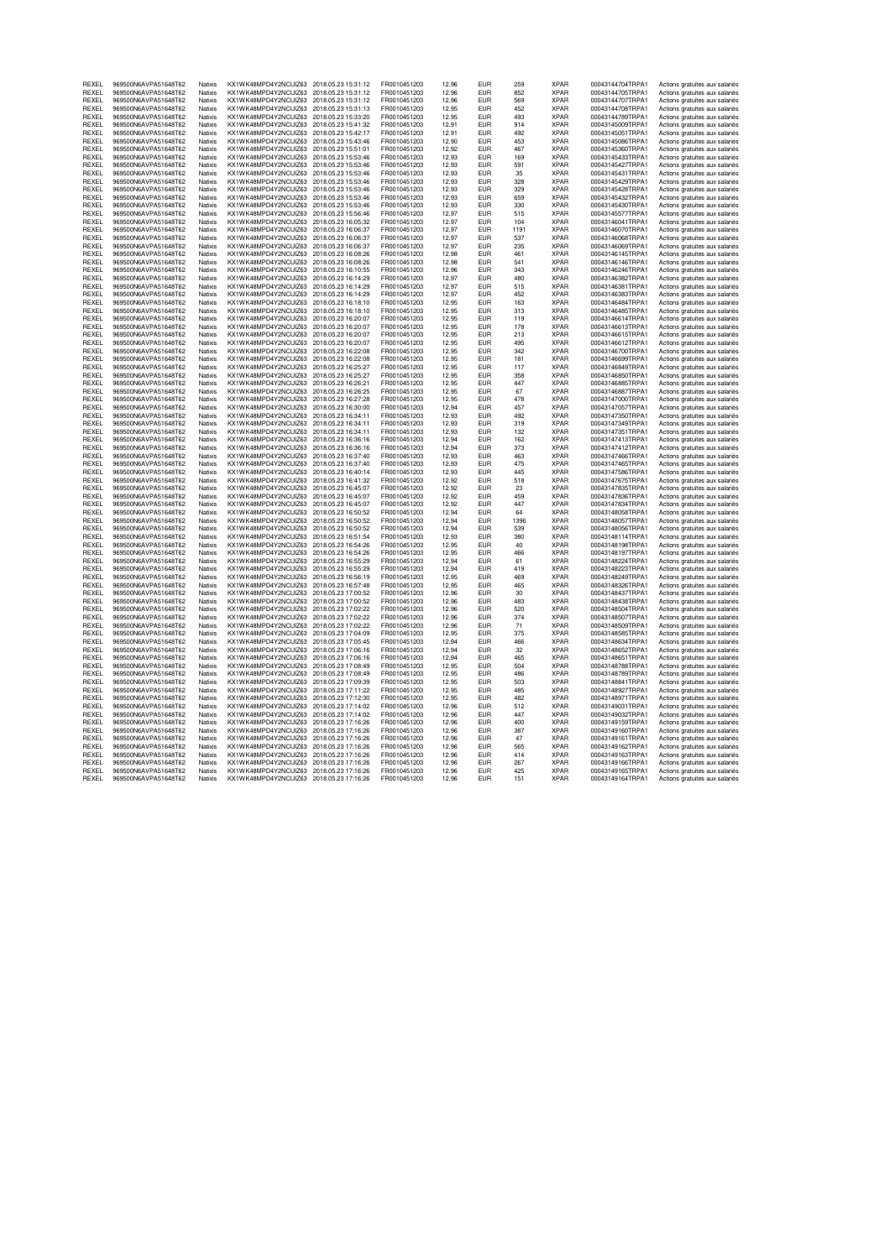| RFXFI        | 969500N6AVPA51648T62 | Natixis        | KX1WK48MPD4Y2NCUIZ63                      | 2018.05.23 15:31:12 | FR0010451203 | 12.96 | FUR        | 259  | <b>XPAR</b> | 00043144704TRPA1 | Actions gratuites aux salariés |
|--------------|----------------------|----------------|-------------------------------------------|---------------------|--------------|-------|------------|------|-------------|------------------|--------------------------------|
| REXEL        | 969500N6AVPA51648T62 | Natixis        | KX1WK48MPD4Y2NCUIZ63                      | 2018.05.23 15:31:12 | FR0010451203 | 12.96 | EUR        | 852  | <b>XPAR</b> | 00043144705TRPA1 | Actions gratuites aux salariés |
| <b>RFXFI</b> | 969500N6AVPA51648T62 | <b>Natixis</b> | KX1WK48MPD4Y2NCLIIZ63 2018.05.23 15:31:12 |                     | FR0010451203 | 12.96 | FUR        | 569  | <b>XPAR</b> | 00043144707TRPA1 | Actions gratuites aux salariés |
| REXEL        | 969500N6AVPA51648T62 | Natixis        | KX1WK48MPD4Y2NCUIZ63                      | 2018.05.23 15:31:13 | FR0010451203 | 12.95 | EUR        | 452  | <b>XPAR</b> | 00043144708TRPA1 | Actions gratuites aux salariés |
| <b>RFXFI</b> | 969500N6AVPA51648T62 | <b>Natixis</b> | KX1WK48MPD4Y2NCLIIZ63 2018.05.23 15:33:20 |                     | FR0010451203 | 12.95 | <b>FUR</b> | 493  | <b>XPAR</b> | 00043144789TRPA1 |                                |
|              |                      |                |                                           |                     |              |       |            |      |             |                  | Actions gratuites aux salariés |
| REXEL        | 969500N6AVPA51648T62 | Natixis        | KX1WK48MPD4Y2NCUIZ63 2018.05.23 15:41:32  |                     | FR0010451203 | 12.91 | <b>EUR</b> | 914  | <b>XPAR</b> | 00043145009TRPA1 | Actions gratuites aux salariés |
| REXEL        | 969500N6AVPA51648T62 | Natixis        | KX1WK48MPD4Y2NCUIZ63 2018.05.23 15:42:17  |                     | FR0010451203 | 12.91 | <b>EUR</b> | 492  | <b>XPAR</b> | 00043145051TRPA1 | Actions gratuites aux salariés |
| RFXFI        | 969500N6AVPA51648T62 | Natixis        | KX1WK48MPD4Y2NCUIZ63 2018.05.23 15:43:46  |                     | FR0010451203 | 12.90 | <b>FUR</b> | 453  | <b>XPAR</b> | 00043145086TRPA1 | Actions gratuites aux salariés |
| REXEL        | 969500N6AVPA51648T62 | Natixis        | KX1WK48MPD4Y2NCUIZ63 2018.05.23 15:51:01  |                     | FR0010451203 | 12.92 | EUR        | 467  | <b>XPAR</b> | 00043145360TRPA1 | Actions gratuites aux salariés |
| REXEL        | 969500N6AVPA51648T62 | Natixis        | KX1WK48MPD4Y2NCUIZ63 2018.05.23 15:53:46  |                     | FR0010451203 | 12.93 | FIIR       | 169  | <b>XPAR</b> | 00043145433TRPA1 | Actions gratuites aux salariés |
| REXEL        | 969500N6AVPA51648T62 | Natixis        | KX1WK48MPD4Y2NCUIZ63                      | 2018.05.23 15:53:46 | FR0010451203 | 12.93 | <b>EUR</b> | 591  | <b>XPAR</b> | 00043145427TRPA1 | Actions gratuites aux salariés |
|              |                      |                |                                           |                     |              |       |            |      |             |                  |                                |
| <b>RFXFI</b> | 969500N6AVPA51648T62 | Natixis        | KX1WK48MPD4Y2NCUIZ63 2018.05.23 15:53:46  |                     | FR0010451203 | 12.93 | <b>EUR</b> | 35   | <b>XPAR</b> | 00043145431TRPA1 | Actions gratuites aux salariés |
| REXEL        | 969500N6AVPA51648T62 | Natixis        | KX1WK48MPD4Y2NCUIZ63 2018.05.23 15:53:46  |                     | FR0010451203 | 12.93 | <b>EUR</b> | 328  | <b>XPAR</b> | 00043145429TRPA1 | Actions gratuites aux salariés |
| <b>RFXFI</b> | 969500N6AVPA51648T62 | <b>Natixis</b> | KX1WK48MPD4Y2NCUIZ63 2018.05.23 15:53:46  |                     | FR0010451203 | 12.93 | <b>FUR</b> | 329  | <b>XPAR</b> | 00043145428TRPA1 | Actions gratuites aux salariés |
| REXEL        | 969500N6AVPA51648T62 | Natixis        | KX1WK48MPD4Y2NCUIZ63 2018.05.23 15:53:46  |                     | FR0010451203 | 12.93 | <b>EUR</b> | 659  | <b>XPAR</b> | 00043145432TRPA1 | Actions gratuites aux salariés |
| <b>REXEL</b> | 969500N6AVPA51648T62 | Natixis        | KX1WK48MPD4Y2NCUIZ63 2018.05.23 15:53:46  |                     | FR0010451203 | 12.93 | <b>FUR</b> | 330  | <b>XPAR</b> | 00043145430TRPA1 | Actions gratuites aux salariés |
|              |                      |                |                                           |                     |              |       |            | 515  |             |                  |                                |
| REXEL        | 969500N6AVPA51648T62 | Natixis        | KX1WK48MPD4Y2NCUIZ63 2018.05.23 15:56:46  |                     | FR0010451203 | 12.97 | EUR        |      | <b>XPAR</b> | 00043145577TRPA1 | Actions gratuites aux salariés |
| RFXFI        | 969500N6AVPA51648T62 | <b>Natixis</b> | KX1WK48MPD4Y2NCUIZ63 2018.05.23 16:05:32  |                     | FR0010451203 | 12.97 | <b>FUR</b> | 104  | <b>XPAR</b> | 00043146041TRPA1 | Actions gratuites aux salariés |
| REXEL        | 969500N6AVPA51648T62 | Natixis        | KX1WK48MPD4Y2NCUIZ63 2018.05.23 16:06:37  |                     | FR0010451203 | 12.97 | <b>EUR</b> | 1191 | <b>XPAR</b> | 00043146070TRPA1 | Actions gratuites aux salariés |
| REXEL        | 969500N6AVPA51648T62 | Natixis        | KX1WK48MPD4Y2NCUIZ63 2018.05.23 16:06:37  |                     | FR0010451203 | 12.97 | <b>EUR</b> | 537  | <b>XPAR</b> | 00043146068TRPA1 | Actions gratuites aux salariés |
| <b>RFXFI</b> | 969500N6AVPA51648T62 | <b>Natixis</b> | KX1WK48MPD4Y2NCLIIZ63 2018.05.23 16:06:37 |                     | FR0010451203 | 12.97 | FUR        | 235  | <b>XPAR</b> | 00043146069TRPA1 | Actions gratuites aux salariés |
| REXEL        | 969500N6AVPA51648T62 | Natixis        | KX1WK48MPD4Y2NCUIZ63                      | 2018.05.23 16:08:26 | FR0010451203 | 12.98 | EUR        | 461  | <b>XPAR</b> | 00043146145TRPA1 | Actions gratuites aux salariés |
| REXEL        | 969500N6AVPA51648T62 | Natixis        | KX1WK48MPD4Y2NCUIZ63 2018.05.23 16:08:26  |                     | FR0010451203 | 12.98 | <b>EUR</b> | 541  | <b>XPAR</b> | 00043146146TRPA1 |                                |
|              |                      |                |                                           |                     |              |       |            |      |             |                  | Actions gratuites aux salariés |
| REXEL        | 969500N6AVPA51648T62 | Natixis        | KX1WK48MPD4Y2NCUIZ63 2018.05.23 16:10:55  |                     | FR0010451203 | 12.96 | EUR        | 343  | <b>XPAR</b> | 00043146246TRPA1 | Actions gratuites aux salariés |
| REXEL        | 969500N6AVPA51648T62 | Natixis        | KX1WK48MPD4Y2NCUIZ63 2018.05.23 16:14:29  |                     | FR0010451203 | 12.97 | <b>EUR</b> | 480  | <b>XPAR</b> | 00043146382TRPA1 | Actions gratuites aux salariés |
| <b>RFXFI</b> | 969500N6AVPA51648T62 | Natixis        | KX1WK48MPD4Y2NCUIZ63 2018.05.23 16:14:29  |                     | FR0010451203 | 12.97 | <b>FUR</b> | 515  | <b>XPAR</b> | 00043146381TRPA1 | Actions gratuites aux salariés |
| REXEL        | 969500N6AVPA51648T62 | Natixis        | KX1WK48MPD4Y2NCUIZ63 2018.05.23 16:14:29  |                     | FR0010451203 | 12.97 | <b>EUR</b> | 452  | <b>XPAR</b> | 00043146383TRPA1 | Actions gratuites aux salariés |
| REXEL        | 969500N6AVPA51648T62 | Natixis        | KX1WK48MPD4Y2NCUIZ63 2018.05.23 16:18:10  |                     | FR0010451203 | 12.95 | <b>FUR</b> | 163  | <b>XPAR</b> | 00043146484TRPA1 | Actions gratuites aux salariés |
| RFXFI        | 969500N6AVPA51648T62 | Natixis        |                                           | 2018.05.23 16:18:10 | FR0010451203 | 12.95 | <b>FUR</b> | 313  |             | 00043146485TRPA1 |                                |
|              |                      |                | KX1WK48MPD4Y2NCUIZ63                      |                     |              |       |            |      | <b>XPAR</b> |                  | Actions gratuites aux salariés |
| RFXFI        | 969500N6AVPA51648T62 | <b>Natixis</b> | KX1WK48MPD4Y2NCUIZ63 2018.05.23 16:20:07  |                     | FR0010451203 | 12.95 | FUR        | 119  | <b>XPAR</b> | 00043146614TRPA1 | Actions gratuites aux salariés |
| REXEL        | 969500N6AVPA51648T62 | Natixis        | KX1WK48MPD4Y2NCUIZ63 2018.05.23 16:20:07  |                     | FR0010451203 | 12.95 | EUR        | 178  | <b>XPAR</b> | 00043146613TRPA1 | Actions gratuites aux salariés |
| <b>RFXFI</b> | 969500N6AVPA51648T62 | <b>Natixis</b> | KX1WK48MPD4Y2NCLIIZ63 2018.05.23 16:20:07 |                     | FR0010451203 | 12.95 | <b>FUR</b> | 213  | <b>XPAR</b> | 00043146615TRPA1 | Actions gratuites aux salariés |
| REXEL        | 969500N6AVPA51648T62 | Natixis        | KX1WK48MPD4Y2NCUIZ63 2018.05.23 16:20:07  |                     | FR0010451203 | 12.95 | EUR        | 495  | <b>XPAR</b> | 00043146612TRPA1 | Actions gratuites aux salariés |
| <b>RFXFI</b> | 969500N6AVPA51648T62 | <b>Natixis</b> | KX1WK48MPD4Y2NCLIIZ63 2018.05.23 16:22:08 |                     | FR0010451203 | 12.95 | <b>FUR</b> | 342  | <b>XPAR</b> | 00043146700TRPA1 |                                |
|              |                      |                |                                           |                     |              |       |            |      |             |                  | Actions gratuites aux salariés |
| REXEL        | 969500N6AVPA51648T62 | Natixis        | KX1WK48MPD4Y2NCUIZ63 2018.05.23 16:22:08  |                     | FR0010451203 | 12.95 | <b>EUR</b> | 181  | <b>XPAR</b> | 00043146699TRPA1 | Actions gratuites aux salariés |
| REXEL        | 969500N6AVPA51648T62 | Natixis        | KX1WK48MPD4Y2NCUIZ63 2018.05.23 16:25:27  |                     | FR0010451203 | 12.95 | <b>EUR</b> | 117  | <b>XPAR</b> | 00043146849TRPA1 | Actions gratuites aux salariés |
| REXEL        | 969500N6AVPA51648T62 | Natixis        | KX1WK48MPD4Y2NCUIZ63 2018.05.23 16:25:27  |                     | FR0010451203 | 12.95 | <b>FUR</b> | 358  | <b>XPAR</b> | 00043146850TRPA1 | Actions gratuites aux salariés |
| REXEL        | 969500N6AVPA51648T62 | Natixis        | KX1WK48MPD4Y2NCUIZ63 2018.05.23 16:26:21  |                     | FR0010451203 | 12.95 | EUR        | 447  | <b>XPAR</b> | 00043146885TRPA1 | Actions gratuites aux salariés |
| REXEL        | 969500N6AVPA51648T62 | Natixis        | KX1WK48MPD4Y2NCUIZ63 2018.05.23 16:26:25  |                     | FR0010451203 | 12.95 | FIIR       | 67   | <b>XPAR</b> | 00043146887TRPA1 | Actions gratuites aux salariés |
| REXEL        | 969500N6AVPA51648T62 | Natixis        | KX1WK48MPD4Y2NCUIZ63                      | 2018.05.23 16:27:28 | FR0010451203 | 12.95 | <b>EUR</b> | 478  | <b>XPAR</b> | 00043147000TRPA1 |                                |
|              |                      |                |                                           |                     |              |       |            |      |             |                  | Actions gratuites aux salariés |
| REXEL        | 969500N6AVPA51648T62 | Natixis        | KX1WK48MPD4Y2NCUIZ63 2018.05.23 16:30:00  |                     | FR0010451203 | 12.94 | <b>EUR</b> | 457  | <b>XPAR</b> | 00043147057TRPA1 | Actions gratuites aux salariés |
| REXEL        | 969500N6AVPA51648T62 | Natixis        | KX1WK48MPD4Y2NCUIZ63 2018.05.23 16:34:11  |                     | FR0010451203 | 12.93 | EUR        | 492  | <b>XPAR</b> | 00043147350TRPA1 | Actions gratuites aux salariés |
| REXEL        | 969500N6AVPA51648T62 | Natixis        | KX1WK48MPD4Y2NCUIZ63 2018.05.23 16:34:11  |                     | FR0010451203 | 12.93 | <b>EUR</b> | 319  | <b>XPAR</b> | 00043147349TRPA1 | Actions gratuites aux salariés |
| REXEL        | 969500N6AVPA51648T62 | Natixis        | KX1WK48MPD4Y2NCUIZ63 2018.05.23 16:34:11  |                     | FR0010451203 | 12.93 | EUR        | 132  | <b>XPAR</b> | 00043147351TRPA1 | Actions gratuites aux salariés |
| REXEL        | 969500N6AVPA51648T62 | Natixis        | KX1WK48MPD4Y2NCUIZ63 2018.05.23 16:36:16  |                     | FR0010451203 | 12.94 | <b>EUR</b> | 162  | <b>XPAR</b> | 00043147413TRPA1 | Actions gratuites aux salariés |
| <b>RFXFI</b> | 969500N6AVPA51648T62 | Natixis        | KX1WK48MPD4Y2NCUIZ63 2018.05.23 16:36:16  |                     | FR0010451203 | 12.94 | <b>EUR</b> | 373  | <b>XPAR</b> | 00043147412TRPA1 | Actions gratuites aux salariés |
|              |                      |                |                                           |                     |              |       |            |      |             |                  |                                |
| RFXFI        | 969500N6AVPA51648T62 | Natixis        | KX1WK48MPD4Y2NCUIZ63                      | 2018.05.23 16:37:40 | FR0010451203 | 12.93 | <b>FUR</b> | 463  | <b>XPAR</b> | 00043147466TRPA1 | Actions gratuites aux salariés |
| RFXFI        | 969500N6AVPA51648T62 | <b>Natixis</b> | KX1WK48MPD4Y2NCUIZ63 2018.05.23 16:37:40  |                     | FR0010451203 | 12.93 | <b>EUR</b> | 475  | <b>XPAR</b> | 00043147465TRPA1 | Actions gratuites aux salariés |
| REXEL        | 969500N6AVPA51648T62 | Natixis        | KX1WK48MPD4Y2NCUIZ63 2018.05.23 16:40:14  |                     | FR0010451203 | 12.93 | EUR        | 445  | <b>XPAR</b> | 00043147586TRPA1 | Actions gratuites aux salariés |
| <b>RFXFI</b> | 969500N6AVPA51648T62 | <b>Natixis</b> | KX1WK48MPD4Y2NCLIIZ63 2018.05.23 16:41:32 |                     | FR0010451203 | 12.92 | <b>FUR</b> | 518  | <b>XPAR</b> | 00043147675TRPA1 | Actions gratuites aux salariés |
| REXEL        | 969500N6AVPA51648T62 | Natixis        | KX1WK48MPD4Y2NCUIZ63 2018.05.23 16:45:07  |                     | FR0010451203 | 12.92 | EUR        | 23   | <b>XPAR</b> | 00043147835TRPA1 | Actions gratuites aux salariés |
| REXEL        | 969500N6AVPA51648T62 | Natixis        | KX1WK48MPD4Y2NCUIZ63 2018.05.23 16:45:07  |                     | FR0010451203 | 12.92 | <b>EUR</b> | 459  | <b>XPAR</b> | 00043147836TRPA1 |                                |
|              |                      |                |                                           |                     |              |       |            |      |             |                  | Actions gratuites aux salariés |
| REXEL        | 969500N6AVPA51648T62 | Natixis        | KX1WK48MPD4Y2NCUIZ63 2018.05.23 16:45:07  |                     | FR0010451203 | 12.92 | <b>EUR</b> | 447  | <b>XPAR</b> | 00043147834TRPA1 | Actions gratuites aux salariés |
| REXEL        | 969500N6AVPA51648T62 | Natixis        | KX1WK48MPD4Y2NCUIZ63 2018.05.23 16:50:52  |                     | FR0010451203 | 12.94 | <b>EUR</b> | 64   | <b>XPAR</b> | 00043148058TRPA1 | Actions gratuites aux salariés |
| RFXFI        | 969500N6AVPA51648T62 | Natixis        | KX1WK48MPD4Y2NCUIZ63 2018.05.23 16:50:52  |                     | FR0010451203 | 12.94 | <b>FUR</b> | 1396 | <b>XPAR</b> | 00043148057TRPA1 | Actions gratuites aux salariés |
| REXEL        | 969500N6AVPA51648T62 | Natixis        | KX1WK48MPD4Y2NCUIZ63 2018.05.23 16:50:52  |                     | FR0010451203 | 12.94 | EUR        | 539  | <b>XPAR</b> | 00043148056TRPA1 | Actions gratuites aux salariés |
| RFXFI        | 969500N6AVPA51648T62 | Natixis        | KX1WK48MPD4Y2NCUIZ63 2018.05.23 16:51:54  |                     | FR0010451203 | 12.93 | <b>FUR</b> | 380  | <b>XPAR</b> | 00043148114TRPA1 | Actions gratuites aux salariés |
| REXEL        | 969500N6AVPA51648T62 | Natixis        | KX1WK48MPD4Y2NCUIZ63 2018.05.23 16:54:26  |                     | FR0010451203 | 12.95 | EUR        | 40   | <b>XPAR</b> | 00043148198TRPA1 |                                |
|              |                      |                |                                           |                     |              |       |            |      |             |                  | Actions gratuites aux salariés |
| <b>RFXFI</b> | 969500N6AVPA51648T62 | <b>Natixis</b> | KX1WK48MPD4Y2NCUIZ63 2018.05.23 16:54:26  |                     | FR0010451203 | 12.95 | <b>FUR</b> | 466  | <b>XPAR</b> | 00043148197TRPA1 | Actions gratuites aux salariés |
| REXEL        | 969500N6AVPA51648T62 | Natixis        | KX1WK48MPD4Y2NCUIZ63 2018.05.23 16:55:29  |                     | FR0010451203 | 12.94 | <b>EUR</b> | 61   | <b>XPAR</b> | 00043148224TRPA1 | Actions gratuites aux salariés |
| <b>RFXFI</b> | 969500N6AVPA51648T62 | <b>Natixis</b> | KX1WK48MPD4Y2NCLIIZ63 2018.05.23 16:55:29 |                     | FR0010451203 | 12.94 | <b>FUR</b> | 419  | <b>XPAR</b> | 00043148223TRPA1 | Actions gratuites aux salariés |
| REXEL        | 969500N6AVPA51648T62 | Natixis        | KX1WK48MPD4Y2NCUIZ63 2018.05.23 16:56:19  |                     | FR0010451203 | 12.95 | EUR        | 469  | <b>XPAR</b> | 00043148249TRPA1 | Actions gratuites aux salariés |
| REXEL        | 969500N6AVPA51648T62 | Natixis        | KX1WK48MPD4Y2NCUIZ63 2018.05.23 16:57:48  |                     | FR0010451203 | 12.95 | <b>FUR</b> | 465  | <b>XPAR</b> | 00043148326TRPA1 | Actions gratuites aux salariés |
| REXEL        | 969500N6AVPA51648T62 | Natixis        |                                           |                     | FR0010451203 | 12.96 | <b>EUR</b> | 30   | <b>XPAR</b> |                  |                                |
|              |                      |                | KX1WK48MPD4Y2NCUIZ63 2018.05.23 17:00:52  |                     |              |       |            |      |             | 00043148437TRPA1 | Actions gratuites aux salariés |
| REXEL        | 969500N6AVPA51648T62 | Natixis        | KX1WK48MPD4Y2NCUIZ63                      | 2018.05.23 17:00:52 | FR0010451203 | 12.96 | <b>EUR</b> | 483  | <b>XPAR</b> | 00043148438TRPA1 | Actions gratuites aux salariés |
| RFXFI        | 969500N6AVPA51648T62 | Natixis        | KX1WK48MPD4Y2NCUIZ63 2018.05.23 17:02:22  |                     | FR0010451203 | 12.96 | <b>FUR</b> | 520  | <b>XPAR</b> | 00043148504TRPA1 | Actions gratuites aux salariés |
| REXEL        | 969500N6AVPA51648T62 | Natixis        | KX1WK48MPD4Y2NCUIZ63 2018.05.23 17:02:22  |                     | FR0010451203 | 12.96 | EUR        | 374  | <b>XPAR</b> | 00043148507TRPA1 | Actions gratuites aux salariés |
| <b>RFXFI</b> | 969500N6AVPA51648T62 | <b>Natixis</b> | KX1WK48MPD4Y2NCLIIZ63 2018.05.23 17:02:22 |                     | FR0010451203 | 12.96 | <b>FUR</b> | 71   | <b>XPAR</b> | 00043148509TRPA1 | Actions gratuites aux salariés |
| REXEL        | 969500N6AVPA51648T62 | Natixis        | KX1WK48MPD4Y2NCUIZ63                      | 2018.05.23 17:04:09 | FR0010451203 | 12.95 | <b>EUR</b> | 375  | <b>XPAR</b> | 00043148585TRPA1 | Actions gratuites aux salariés |
| REXEL        | 969500N6AVPA51648T62 | Natixis        | KX1WK48MPD4Y2NCUIZ63 2018.05.23 17:05:45  |                     | FR0010451203 | 12.94 | <b>EUR</b> | 466  | <b>XPAR</b> | 00043148634TRPA1 |                                |
|              |                      |                |                                           |                     |              |       |            |      |             |                  | Actions gratuites aux salariés |
| REXEL        | 969500N6AVPA51648T62 | Natixis        | KX1WK48MPD4Y2NCUIZ63 2018.05.23 17:06:16  |                     | FR0010451203 | 12.94 | <b>EUR</b> | 32   | <b>XPAR</b> | 00043148652TRPA1 | Actions gratuites aux salariés |
| REXEL        | 969500N6AVPA51648T62 | Natixis        | KX1WK48MPD4Y2NCUIZ63                      | 2018.05.23 17:06:16 | FR0010451203 | 12.94 | <b>EUR</b> | 465  | <b>XPAR</b> | 00043148651TRPA1 | Actions gratuites aux salariés |
| REXEL        | 969500N6AVPA51648T62 | Natixis        | KX1WK48MPD4Y2NCUIZ63                      | 2018.05.23 17:08:49 | FR0010451203 | 12.95 | <b>EUR</b> | 504  | <b>XPAR</b> | 00043148788TRPA1 | Actions gratuites aux salariés |
| REXEL        | 969500N6AVPA51648T62 | Natixis        | KX1WK48MPD4Y2NCUIZ63 2018.05.23 17:08:49  |                     | FR0010451203 | 12.95 | <b>FUR</b> | 486  | <b>XPAR</b> | 00043148789TRPA1 | Actions gratuites aux salariés |
| <b>RFXFI</b> | 969500N6AVPA51648T62 | Natixis        | KX1WK48MPD4Y2NCUIZ63 2018.05.23 17:09:39  |                     | FR0010451203 | 12.95 | <b>EUR</b> | 503  | <b>XPAR</b> | 00043148841TRPA1 | Actions gratuites aux salariés |
| RFXFI        | 969500N6AVPA51648T62 | Natixis        | KX1WK48MPD4Y2NCLIIZ63                     | 2018.05.23 17:11:22 | FR0010451203 | 12.95 | <b>FUR</b> | 485  | <b>XPAR</b> | 00043148927TRPA1 |                                |
|              |                      |                |                                           |                     |              |       |            |      |             |                  | Actions gratuites aux salariés |
| <b>RFXFI</b> | 969500N6AVPA51648T62 | <b>Natixis</b> | KX1WK48MPD4Y2NCLIIZ63 2018.05.23 17:12:30 |                     | FR0010451203 | 12.95 | <b>FUR</b> | 482  | <b>XPAR</b> | 00043148971TRPA1 | Actions gratuites aux salariés |
| REXEL        | 969500N6AVPA51648T62 | Natixis        | KX1WK48MPD4Y2NCUIZ63 2018.05.23 17:14:02  |                     | FR0010451203 | 12.96 | <b>EUR</b> | 512  | <b>XPAR</b> | 00043149031TRPA1 | Actions gratuites aux salariés |
| RFXFI        | 969500N6AVPA51648T62 | <b>Natixis</b> | KX1WK48MPD4Y2NCUIZ63 2018 05 23 17:14:02  |                     | FR0010451203 | 12.96 | <b>FUR</b> | 447  | <b>XPAR</b> | 00043149032TRPA1 | Actions gratuites aux salariés |
| REXEL        | 969500N6AVPA51648T62 | Natixis        | KX1WK48MPD4Y2NCUIZ63 2018.05.23 17:16:26  |                     | FR0010451203 | 12.96 | EUR        | 400  | <b>XPAR</b> | 00043149159TRPA1 | Actions gratuites aux salariés |
| REXEL        | 969500N6AVPA51648T62 | Natixis        | KX1WK48MPD4Y2NCUIZ63 2018.05.23 17:16:26  |                     | FR0010451203 | 12.96 | <b>EUR</b> | 387  | <b>XPAR</b> | 00043149160TRPA1 | Actions gratuites aux salariés |
|              |                      |                |                                           |                     |              |       |            |      |             |                  |                                |
| REXEL        | 969500N6AVPA51648T62 | Natixis        | KX1WK48MPD4Y2NCUIZ63 2018.05.23 17:16:26  |                     | FR0010451203 | 12.96 | <b>EUR</b> | 47   | <b>XPAR</b> | 00043149161TRPA1 | Actions gratuites aux salariés |
| REXEL        | 969500N6AVPA51648T62 | Natixis        | KX1WK48MPD4Y2NCUIZ63 2018.05.23 17:16:26  |                     | FR0010451203 | 12.96 | <b>EUR</b> | 565  | <b>XPAR</b> | 00043149162TRPA1 | Actions gratuites aux salariés |
| <b>RFXFI</b> | 969500N6AVPA51648T62 | <b>Natixis</b> | KX1WK48MPD4Y2NCLIIZ63 2018.05.23 17:16:26 |                     | FR0010451203 | 12.96 | <b>FUR</b> | 414  | <b>XPAR</b> | 00043149163TRPA1 | Actions gratuites aux salariés |
| REXEL        | 969500N6AVPA51648T62 | Natixis        | KX1WK48MPD4Y2NCUIZ63 2018.05.23 17:16:26  |                     | FR0010451203 | 12.96 | EUR        | 267  | <b>XPAR</b> | 00043149166TRPA1 | Actions gratuites aux salariés |
| RFXFI        | 969500N6AVPA51648T62 | <b>Natixis</b> | KX1WK48MPD4Y2NCUIZ63 2018.05.23 17:16:26  |                     | FR0010451203 | 12.96 | <b>FUR</b> | 425  | <b>XPAR</b> | 00043149165TRPA1 | Actions gratuites aux salariés |
| REXEL        | 969500N6AVPA51648T62 | Natixis        | KX1WK48MPD4Y2NCUIZ63 2018.05.23 17:16:26  |                     | FR0010451203 | 12.96 | EUR        | 151  | <b>XPAR</b> | 00043149164TRPA1 | Actions gratuites aux salariés |
|              |                      |                |                                           |                     |              |       |            |      |             |                  |                                |